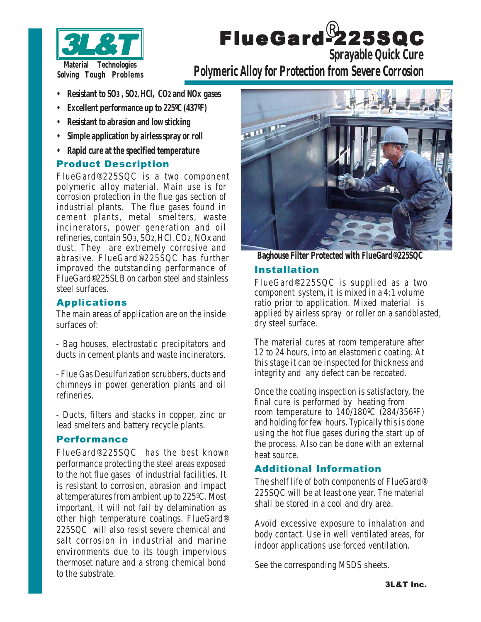

# FlueGard-225SQC ® **Sprayable Quick Cure**

**Polymeric Alloy for Protection from Severe Corrosion**

- **• Resistant to SO3 , SO2, HCl, CO2 and NOx gases**
- **• Excellent performance up to 225ºC (437ºF)**
- **• Resistant to abrasion and low sticking**
- **• Simple application by airless spray or roll**
- **• Rapid cure at the specified temperature**

## Product Description

FlueGard®-225SQC is a two component polymeric alloy material. Main use is for corrosion protection in the flue gas section of industrial plants. The flue gases found in cement plants, metal smelters, waste incinerators, power generation and oil refineries, contain SO3, SO2,HCl,CO2,NOx and dust. They are extremely corrosive and abrasive. FlueGard®-225SQC has further improved the outstanding performance of FlueGard®-225SLB on carbon steel and stainless steel surfaces.

## Applications

The main areas of application are on the inside surfaces of:

- Bag houses, electrostatic precipitators and ducts in cement plants and waste incinerators.

- Flue Gas Desulfurization scrubbers, ducts and chimneys in power generation plants and oil refineries.

- Ducts, filters and stacks in copper, zinc or lead smelters and battery recycle plants.

#### Performance

FlueGard®-225SQC has the best known performance protecting the steel areas exposed to the hot flue gases of industrial facilities. It is resistant to corrosion, abrasion and impact at temperatures from ambient up to 225°C. Most important, it will not fail by delamination as other high temperature coatings. FlueGard®- 225SQC will also resist severe chemical and salt corrosion in industrial and marine environments due to its tough impervious thermoset nature and a strong chemical bond to the substrate.



**Baghouse Filter Protected with FlueGard®-225SQC**

#### Installation

FlueGard®-225SQC is supplied as a two component system, it is mixed in a 4:1 volume ratio prior to application. Mixed material is applied by airless spray or roller on a sandblasted, dry steel surface.

The material cures at room temperature after 12 to 24 hours, into an elastomeric coating. At this stage it can be inspected for thickness and integrity and any defect can be recoated.

Once the coating inspection is satisfactory, the final cure is performed by heating from room temperature to 140/180ºC (284/356ºF) and holding for few hours. Typically this is done using the hot flue gases during the start up of the process. Also can be done with an external heat source.

## Additional Information

The shelf life of both components of FlueGard®- 225SQC will be at least one year. The material shall be stored in a cool and dry area.

Avoid excessive exposure to inhalation and body contact. Use in well ventilated areas, for indoor applications use forced ventilation.

See the corresponding MSDS sheets.